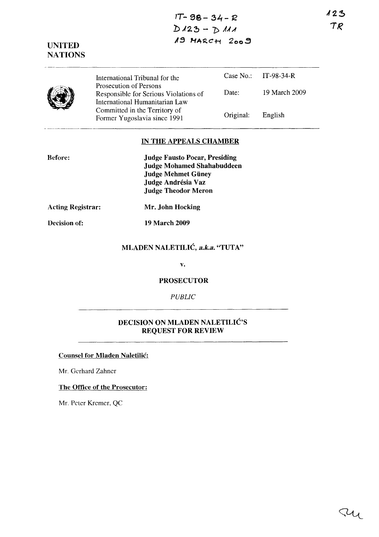$123$  $TR$ 

**IT- 98 - 3'-1 - 1Z**   $D123 - D111$ **"9 HA12.C+i 2 00 :;'** 

**UNITED NATIONS** 

|  | International Tribunal for the                                                                    |           | Case No.: $IT-98-34-R$ |
|--|---------------------------------------------------------------------------------------------------|-----------|------------------------|
|  | Prosecution of Persons<br>Responsible for Serious Violations of<br>International Humanitarian Law | Date:     | 19 March 2009          |
|  | Committed in the Territory of<br>Former Yugoslavia since 1991                                     | Original: | English                |

## **IN THE APPEALS CHAMBER**

| <b>Before:</b> | <b>Judge Fausto Pocar, Presiding</b> |
|----------------|--------------------------------------|
|                | <b>Judge Mohamed Shahabuddeen</b>    |
|                | <b>Judge Mehmet Güney</b>            |
|                | Judge Andrésia Vaz                   |
|                | <b>Judge Theodor Meron</b>           |

**Acting Registrar: Mr. John Hocking** 

**Decision of: 19 March 2009** 

# **MLADEN NALETILIC,** *a.k.a.* **"TUTA"**

**v.** 

**PROSECUTOR** 

## *PUBLIC*

## **DECISION ON MLADEN NALETILIC'S REQUEST FOR REVIEW**

**Counsel for Mladen Naletilic:** 

Mr. Gerhard Zahner

## **The Office of the Prosecutor:**

Mr. Peter Kremer, QC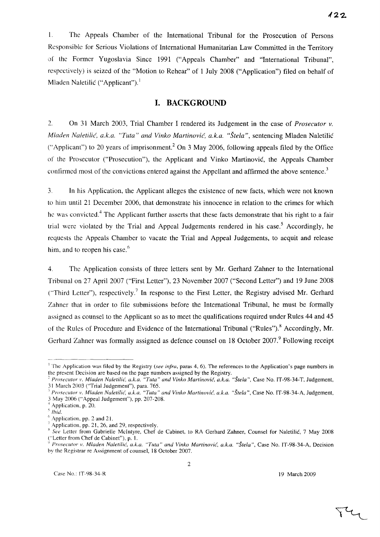1. The Appeals Chamber of the International Tribunal for the Prosecution of Persons Responsible for Serious Violations of International Humanitarian Law Committed in the Territory of the Former Yugoslavia Since 1991 ("Appeals Chamber" and "International Tribunal", respectively) is seized of the "Motion to Rehear" of 1 July 2008 ("Application") filed on behalf of Mladen Naletilić ("Applicant").<sup>1</sup>

## **I. BACKGROUND**

2. On 31 March 2003, Trial Chamber I rendered its Judgement in the case of *Prosecutor v. Mladen Naletilic(, a.k.a. "Tuta" and Vinko Martinovic, a.k.a. "Stela* ", sentencing Mladen Naletilic ("Applicant") to 20 years of imprisonment.<sup>2</sup> On 3 May 2006, following appeals filed by the Office of the Prosecutor ("Prosecution"), the Applicant and Vinko Martinovic, the Appeals Chamber confirmed most of the convictions entered against the Appellant and affirmed the above sentence.<sup>3</sup>

3. In his Application, the Applicant alleges the existence of new facts, which were not known to him until 21 December 2006, that demonstrate his innocence in relation to the crimes for which he was convicted.<sup>4</sup> The Applicant further asserts that these facts demonstrate that his right to a fair trial were violated by the Trial and Appeal Judgements rendered in his case.<sup>5</sup> Accordingly, he requests the Appeals Chamber to vacate the Trial and Appeal Judgements, to acquit and release him, and to reopen his case. $<sup>6</sup>$ </sup>

4. The Application consists of three letters sent by Mr. Gerhard Zahner to the International Tribunal on 27 April 2007 ("First Letter"), 23 November 2007 ("Second Letter") and 19 June 2008 ('"Third Letter"), respectively.? In response to the First Letter, the Registry advised Mr. Gerhard Zahner that in order to file submissions before the International Tribunal, he must be formally assigned as counsel to the Applicant so as to meet the qualifications required under Rules 44 and 45 of the Rules of Procedure and Evidence of the International Tribunal ("Rules").<sup>8</sup> Accordingly, Mr. Gerhard Zahner was formally assigned as defence counsel on 18 October 2007.<sup>9</sup> Following receipt

<sup>1</sup>*Prosecutor* \'. *Mluden Nuletilid, u.k.u. "Tutu" und Vinko Murtinovic, u.k.u. "Stelu* ", Case No. IT-98-34-A, Judgement, 3 May 2()06 ("Appeal Judgement"), pp. 207-208.

*<sup>5</sup> lhid.* 

 $\overline{\Upsilon}$ 

<sup>&</sup>lt;sup>1</sup> The Application was filed by the Registry (see infra, paras 4, 6). The references to the Application's page numbers in the present Decision are based on the page numbers assigned by the Registry.

*<sup>2</sup> Proseclitor* 1'. *Mluden Nuletilid, u.k.a. "Tuta" und Vinko Martinovic, a.k.u. "Stela* ", Case No. IT-98-34-T, Judgement, 31 March 2003 ("Trial Judgement"), para. 765.

<sup>~</sup> Application, p. 20.

Application, pp. 2 and 21.

Application, pp. 21, 26, and 29, respectively.

<sup>&</sup>lt;sup>8</sup> See Letter from Gabrielle McIntyre, Chef de Cabinet, to RA Gerhard Zahner, Counsel for Naletilić, 7 May 2008 ("Letter from Chef de Cabinet"), p. I.

*o Prosecutor v. Mladen Nuletilid, u.k.u. "Tutu" und Vinko Martinovic, u.k.u. "Stelu",* Case No. IT-98-34-A, Decision by the Registrar re Assignment of counsel, 18 October 2007.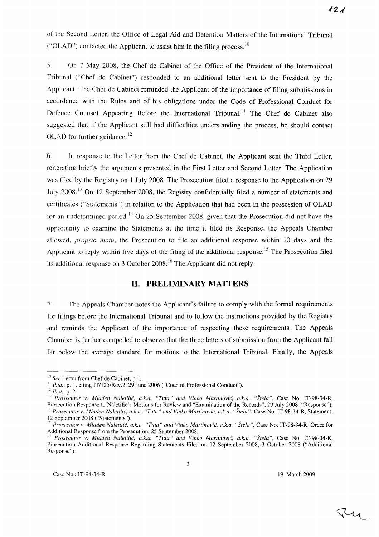of the Second Letter, the Office of Legal Aid and Detention Matters of the International Tribunal ("OLAD") contacted the Applicant to assist him in the filing process.  $\frac{10}{10}$ 

5. On 7 May 2008, the Chef de Cabinet of the Office of the President of the International Tribunal ("Chef de Cabinet") responded to an additional letter sent to the President by the Applicant. The Chef de Cabinet reminded the Applicant of the importance of filing submissions in accordance with the Rules and of his obligations under the Code of Professional Conduct for Defence Counsel Appearing Before the International Tribunal.<sup>11</sup> The Chef de Cabinet also suggested that if the Applicant still had difficulties understanding the process, he should contact OLAD for further guidance.<sup>12</sup>

6. **In** response to the Letter from the Chef de Cabinet, the Applicant sent the Third Letter, reiterating briefly the arguments presented in the First Letter and Second Letter. The Application was filed by the Registry on 1 July 2008. The Prosecution filed a response to the Application on 29 July 2008.<sup>13</sup> On 12 September 2008, the Registry confidentially filed a number of statements and certificates ("Statements") in relation to the Application that had been in the possession of OLAD for an undetermined period.<sup>14</sup> On 25 September 2008, given that the Prosecution did not have the opportunity to examine the Statements at the time it filed its Response, the Appeals Chamber allowed, *proprio motu,* the Prosecution to file an additional response within 10 days and the Applicant to reply within five days of the filing of the additional response.<sup>15</sup> The Prosecution filed its additional response on 3 October 2008. 16 The Applicant did not reply.

## **II. PRELIMINARY MATTERS**

7. The Appeals Chamber notes the Applicant's failure to comply with the formal requirements for filings before the International Tribunal and to follow the instructions provided by the Registry and reminds the Applicant of the importance of respecting these requirements. The Appeals Chamber is further compelled to observe that the three letters of submission from the Applicant fall far below the average standard for motions to the International Tribunal. Finally, the Appeals

Tu

<sup>&</sup>lt;sup>10</sup> See Letter from Chef de Cabinet, p. 1.

 $11$  Ibid., p. 1, citing IT/125/Rev.2, 29 June 2006 ("Code of Professional Conduct").

 $12$  *Ibid.*, p. 2.

<sup>&</sup>lt;sup>13</sup> Prosecutor v. Mladen Naletilić, a.k.a. "Tuta" and Vinko Martinović, a.k.a. "Štela", Case No. IT-98-34-R, Prosecution Response to Naletilić's Motions for Review and "Examination of the Records", 29 July 2008 ("Response"). <sup>14</sup> Prosecutor v. Mladen Naletilić, a.k.a. "Tuta" and Vinko Martinović, a.k.a. "Štela", Case No. IT-98-34-R, Statement, 12 September 2008 ("Statements").

<sup>&</sup>lt;sup>15</sup> Prosecutor v. Mladen Naletilic, a.k.a. "Tuta" and Vinko Martinović, a.k.a. "Štela", Case No. IT-98-34-R, Order for

Additional Response from the Prosecution, 25 September 2008. <sup>16</sup> Prosecutor *v. Mladen Naletilić, a.k.a. "Tuta" and Vinko Martinović, a.k.a. "Štela", Case No. IT-98-34-R,* Prosecution Additional Response Regarding Statements Filed on 12 September 2008, 3 October 2008 ("Additional Response").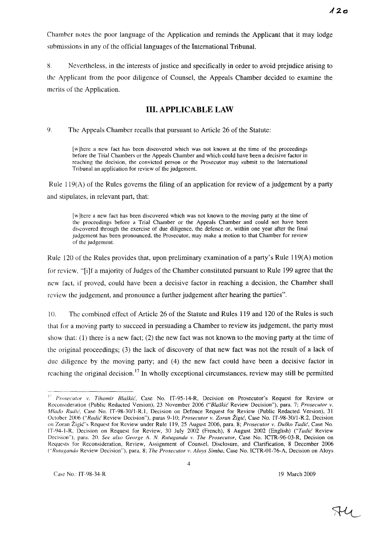Chamher notes the poor language of the Application and reminds the Applicant that it may lodge suhmissions in any of the official languages of the International Tribunal.

8. Nevertheless, in the interests of justice and specifically in order to avoid prejudice arising to the Applicant from the poor diligence of Counsel, the Appeals Chamber decided to examine the merits of the Application.

# **III. APPLICABLE LAW**

9. The Appeals Chamber recalls that pursuant to Article 26 of the Statute:

[w Ihere a new fact has been discovered which was not known at the time of the proceedings before the Trial Chambers or the Appeals Chamber and which could have been a decisive factor in reaching the decision, the convicted person or the Prosecutor may submit to the International Tribunal an application for review of the judgement.

Rule  $119(A)$  of the Rules governs the filing of an application for review of a judgement by a party and stipulates, in relevant part, that:

[w]here a new fact has been discovered which was not known to the moving party at the time of the proceedings before a Trial Chamber or the Appeals Chamber and could not have been discovered through the exercise of due diligence, the defence or, within one year after the final judgement has been pronounced, the Prosecutor, may make a motion to that Chamber for review of the judgement.

Rule 120 of the Rules provides that, upon preliminary examination of a party's Rule 119(A) motion for review, "[i]f a majority of Judges of the Chamber constituted pursuant to Rule 199 agree that the new fact, if proved, could have been a decisive factor in reaching a decision, the Chamber shall review the judgement, and pronounce a further judgement after hearing the parties".

10. The combined effect of Article 26 of the Statute and Rules 119 and 120 of the Rules is such that for a moving party to succeed in persuading a Chamber to review its judgement, the party must show that:  $(1)$  there is a new fact;  $(2)$  the new fact was not known to the moving party at the time of the original proceedings; (3) the lack of discovery of that new fact was not the result of a lack of due diligence by the moving party; and (4) the new fact could have been a decisive factor in reaching the original decision.<sup>17</sup> In wholly exceptional circumstances, review may still be permitted

<sup>&</sup>lt;sup>17</sup> *Prosecutor v. Tihomir Blaškić*, Case No. IT-95-14-R, Decision on Prosecutor's Request for Review or Reconsideration (Public Redacted Version), 23 November 2006 *("Bla§kic* Review Decision"), para. 7; *Prosecutor v. Mlado Radić*, Case No. IT-98-30/1-R.1, Decision on Defence Request for Review (Public Redacted Version), 31 October 2006 *("Radić Review Decision")*, paras 9-10; *Prosecutor v. Zoran Žigić*, Case No. IT-98-30/1-R.2, Decision on Zoran Zigic's Request for Review under Rule 119, 25 August 2006, para. 8; *Prosecutor v. Du§ko Tadic,* Case No. IT-94-I-R, Decision on Request for Review, 30 July 2002 (French), 8 August 2002 (English) *("Tadic* Review Decision"), para. 20. *See also George* A. *N. Rutaganda v. The Prosecutor,* Case No. ICTR-96-03-R, Decision on Requests for Reconsideration, Review, Assignment of Counsel, Disclosure, and Clarification, 8 December 2006 *("Rutaganda* Review Decision"), para. 8; *The Prosecutor v. Aloys Simba,* Case No. ICTR-01-76-A, Decision on Aloys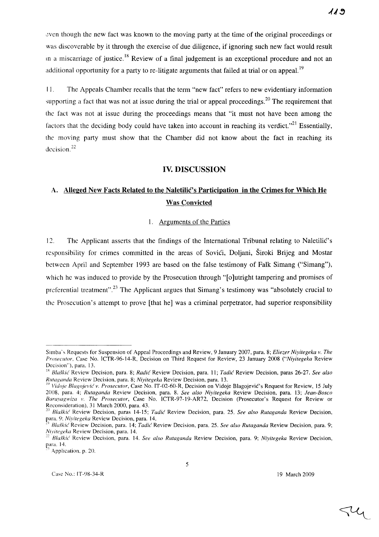~ven though the new fact was known to the moving party at the time of the original proceedings or was discoverable by it through the exercise of due diligence, if ignoring such new fact would result in a miscarriage of justice.<sup>18</sup> Review of a final judgement is an exceptional procedure and not an additional opportunity for a party to re-litigate arguments that failed at trial or on appeal.<sup>19</sup>

II . The Appeals Chamber recalls that the term "new fact" refers to new evidentiary information supporting a fact that was not at issue during the trial or appeal proceedings.<sup>20</sup> The requirement that the fact was not at issue during the proceedings means that "it must not have been among the factors that the deciding body could have taken into account in reaching its verdict.<sup> $21$ </sup> Essentially, the moving party must show that the Chamber did not know about the fact in reaching its decision.<sup>22</sup>

## IV. DISCUSSION

# A. Alleged New Facts Related to the Naletilic's Participation in the Crimes for Which He Was Convicted

#### 1. Arguments of the Parties

12. The Applicant asserts that the findings of the International Tribunal relating to Naletilic's responsibility for crimes committed in the areas of Sovići, Doljani, Široki Brijeg and Mostar between April and September 1993 are based on the false testimony of Falk Simang ("Simang"), which he was induced to provide by the Prosecution through "[o]utright tampering and promises of preferential treatment".<sup>23</sup> The Applicant argues that Simang's testimony was "absolutely crucial to the Prosecution's attempt to prove [that he] was a criminal perpetrator, had superior responsibility

 $\triangleleft$ 

Simba's Requests for Suspension of Appeal Proceedings and Review. 9 January 2007, para. 8; *Eliezer Niyitegeka v. The Proseclltor,* Case No. ICTR-96-14-R, Decision on Third Request for Review, 23 January 2008 *("Niyitegeka* Review Decision"), para. 13.

<sup>&</sup>lt;sup>18</sup> Blaškić Review Decision, para. 8; *Radić* Review Decision, para. 11; *Tadić* Review Decision, paras 26-27. *See also Rlltaganda* Review Decision, para. 8; *Niyitegeka* Review Decision, para. 13.

<sup>&</sup>lt;sup>19</sup> Vidoje Blagojević v. Prosecutor, Case No. IT-02-60-R, Decision on Vidoje Blagojević's Request for Review, 15 July 2008, para. 4; *Rutaganda* Review Decision, para. 8. *See also Niyitegeka* Review Decision, para. 13; *Jean-Bosco Burayugwiza* 1'. *The Prosecutor,* Case No. ICTR-97-19-AR72, Decision (Prosecutor's Request for Review or Reconsideration), 31 March 2000, para. 43.

*<sup>20</sup> Bla.fkic* Review Decision, paras 14-15; *Tadic* Review Decision, para. 25. *See also Rutaganda* Review Decision, para. 9; *Niyitegeka* Review Decision, para. 14.

<sup>&</sup>lt;sup>21</sup> Blaškić Review Decision, para. 14; *Tadić* Review Decision, para. 25. *See also Rutaganda* Review Decision, para. 9; *Nll'itegeka* Review Decision, para. 14.

*<sup>22</sup> Bla.fkic* Review Decision, para. 14. *See also Rutaganda* Review Decision, para. 9; *Niyitegeka* Review Decision, para. 14.

Application, p. 20.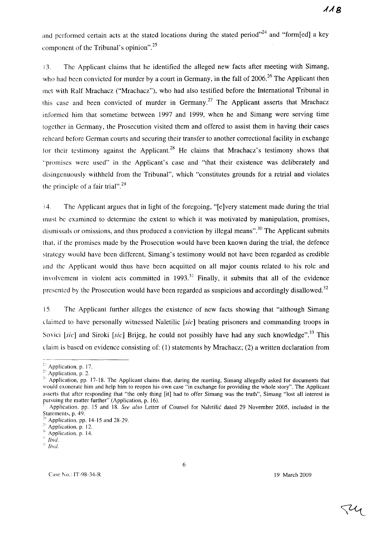and performed certain acts at the stated locations during the stated period $^{24}$  and "form[ed] a key component of the Tribunal's opinion".<sup>25</sup>

13. The Applicant claims that he identified the alleged new facts after meeting with Simang, who had been convicted for murder by a court in Germany, in the fall of 2006.<sup>26</sup> The Applicant then met with Ralf Mrachacz ("Mrachacz"), who had also testified before the International Tribunal in this case and been convicted of murder in Germany.<sup>27</sup> The Applicant asserts that Mrachacz informed him that sometime between 1997 and 1999, when he and Simang were serving time together in Gennany, the Prosecution visited them and offered to assist them in having their cases reheard before German courts and securing their transfer to another correctional facility in exchange for their testimony against the Applicant.<sup>28</sup> He claims that Mrachacz's testimony shows that "promises were used" in the Applicant's case and "that their existence was deliberately and disingenuously withheld from the Tribunal", which "constitutes grounds for a retrial and violates the principle of a fair trial".<sup>29</sup>

i 4. The Applicant argues that in light of the foregoing, "[e ]very statement made during the trial must be examined to determine the extent to which it was motivated by manipulation, promises, dismissals or omissions, and thus produced a conviction by illegal means".<sup>30</sup> The Applicant submits that, if the promises made by the Prosecution would have been known during the trial, the defence strategy would have been different, Simang's testimony would not have been regarded as credible and the Applicant would thus have been acquitted on all major counts related to his role and involvement in violent acts committed in  $1993$ <sup>31</sup> Finally, it submits that all of the evidence presented by the Prosecution would have been regarded as suspicious and accordingly disallowed.<sup>32</sup>

15. The Applicant further alleges the existence of new facts showing that "although Simang" claimed to have personally witnessed Naletilic [sic] beating prisoners and commanding troops in Sovici [sic] and Siroki [sic] Brijeg, he could not possibly have had any such knowledge".<sup>33</sup> This claim is based on evidence consisting of: (1) statements by Mrachacz; (2) a written declaration from

Ty

<sup>&</sup>lt;sup>24</sup> Application, p. 17.

<sup>&</sup>lt;sup>25</sup> Application, p. 2.

<sup>2&#</sup>x27; Application, pp. J7 -18. The Applicant claims that, during the meeting, Simang allegedly asked for documents that would exonerate him and help him to reopen his own case "in exchange for providing the whole story". The Applicant asserts that after responding that "the only thing [it] had to offer Simang was the truth", Simang "lost all interest in pursuing the matter further" (Application, p. 16).

<sup>-</sup> Application, pp. 15 and 18. *See also* Letter of Counsel for Naletilic dated 29 November 2005, included in the Statements, p. 49.

Application, pp.  $14-15$  and  $28-29$ .

 $2^{\circ}$  Application, p. 12.

Application, p. 14.

Ibid.

 $E$  *Ibid.*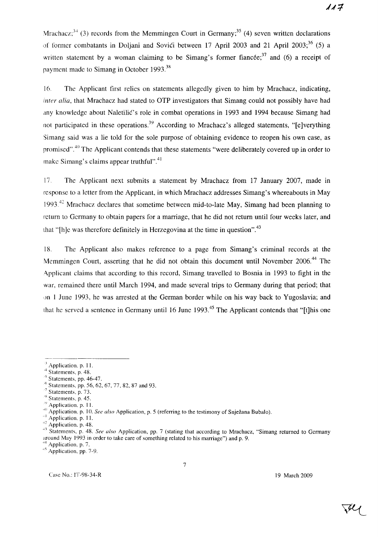Mrachacz;<sup>34</sup> (3) records from the Memmingen Court in Germany;<sup>35</sup> (4) seven written declarations of former combatants in Doliani and Sovici between 17 April 2003 and 21 April 2003;<sup>36</sup> (5) a written statement by a woman claiming to be Simang's former fiancée;<sup>37</sup> and (6) a receipt of payment made to Simang in October 1993. $38$ 

16. The Applicant first relies on statements allegedly given to him by Mrachacz, indicating, *inter alia*, that Mrachacz had stated to OTP investigators that Simang could not possibly have had any knowledge about Naletilic's role in combat operations in 1993 and 1994 because Simang had not participated in these operations.<sup>39</sup> According to Mrachacz's alleged statements, "[e]verything Simang said was a lie told for the sole purpose of obtaining evidence to reopen his own case, as promised".<sup>40</sup> The Applicant contends that these statements "were deliberately covered up in order to make Simang's claims appear truthful". $41$ 

17. The Applicant next submits a statement by Mrachacz from 17 January 2007, made in response to a letter from the Applicant, in which Mrachacz addresses Simang's whereabouts in May 1993.<sup>42</sup> Mrachacz declares that sometime between mid-to-late May, Simang had been planning to return to Germany to obtain papers for a marriage, that he did not return until four weeks later, and that "[h]e was therefore definitely in Herzegovina at the time in question".<sup>43</sup>

18. The Applicant also makes reference to a page from Simang's criminal records at the Memmingen Court, asserting that he did not obtain this document until November 2006.<sup>44</sup> The Applicant claims that according to this record, Simang travelled to Bosnia in 1993 to fight in the war, remained there until March 1994, and made several trips to Germany during that period; that on 1 June 1993, he was arrested at the German border while on his way back to Yugoslavia; and that he served a sentence in Germany until 16 June 1993.<sup>45</sup> The Applicant contends that "[t]his one

7

Application, p. 11.

<sup>-4</sup> Statements. p. 48.

 $5$  Statements, pp. 46-47.

 $\frac{1}{10}$  Statements, pp. 56, 62, 67, 77, 82, 87 and 93.

Statements, p. 73.

Statements, p. 45.

Application, p. 11.

<sup>. «)</sup> Application. p. 10. *See also* Application, p. 5 (referring to the testimony of Snjezana Bubalo).

<sup>&</sup>lt;sup>1</sup> Application. p. 11.

 $42$  Application, p. 48.

<sup>&</sup>lt;sup>43</sup> Statements, p. 48. *See also* Application, pp. 7 (stating that according to Mrachacz, "Simang returned to Germany around May 1993 in order to take care of something related to his marriage") and p. 9. Application, p. 7.

<sup>&</sup>lt;sup>45</sup> Application, pp. 7-9.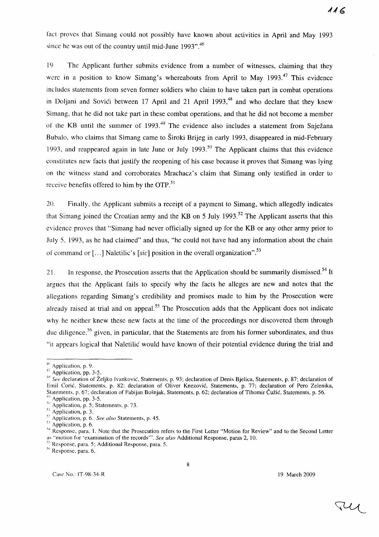fact proves that Simang could not possibly have known about activities in April and May 1993 since he was out of the country until mid-June 1993".<sup>46</sup>

19 The Applicant further submits evidence from a number of witnesses, claiming that they were in a position to know Simang's whereabouts from April to May  $1993<sup>47</sup>$  This evidence includes statements from seven former soldiers who claim to have taken part in combat operations in Doljani and Sovići between 17 April and 21 April 1993,<sup>48</sup> and who declare that they knew Simang, that he did not take part in these combat operations, and that he did not become a member of the KB until the summer of 1993.<sup>49</sup> The evidence also includes a statement from Snježana Bubal0, who claims that Simang came to Siroki Brijeg in early 1993, disappeared in mid-February 1993, and reappeared again in late June or July 1993.<sup>50</sup> The Applicant claims that this evidence constitutes new facts that justify the reopening of his case because it proves that Simang was lying on the witness stand and corroborates Mrachacz's claim that Simang only testified in order to receive benefits offered to him by the OTP.<sup>51</sup>

20. Finally, the Applicant submits a receipt of a payment to Simang, which allegedly indicates that Simang joined the Croatian army and the KB on 5 July 1993.<sup>52</sup> The Applicant asserts that this evidence proves that "Simang had never officially signed up for the KB or any other army prior to July 5, 1993, as he had claimed" and thus, "he could not have had any information about the chain of command or  $\left[ \ldots \right]$  Naletilic's [sic] position in the overall organization".<sup>53</sup>

21. In response, the Prosecution asserts that the Application should be summarily dismissed.<sup>54</sup> It argues that the Applicant fails to specify why the facts he alleges are new and notes that the allegations regarding Simang's credibility and promises made to him by the Prosecution were already raised at trial and on appeal.<sup>55</sup> The Prosecution adds that the Applicant does not indicate why he neither knew these new facts at the time of the proceedings nor discovered them through due diligence,<sup>56</sup> given, in particular, that the Statements are from his former subordinates, and thus "it appears logical that Naletilic would have known of their potential evidence during the trial and

8

<sup>&</sup>lt;sup>46</sup> Application, p. 9.

<sup>&</sup>lt;sup>47</sup> Application, pp. 3-5.

<sup>&</sup>lt;sup>48</sup> See declaration of Željko Ivanković, Statements, p. 93; declaration of Denis Bjelica, Statements, p. 87; declaration of Emil Corić. Statements, p. 82; declaration of Oliver Knezović, Statements, p. 77; declaration of Pero Zelenika, Statements, p. 67; declaration of Fabijan Bosnjak, Statements, p. 62; declaration of Tihomir Cuzie, Statements, p. 56. Application, pp. 3-5.

 $50$  Application, p. 5; Statements, p. 73.

 $5<sup>1</sup>$  Application, p. 3.

<sup>5:</sup> Application, p. 6. *See also* Statements, p. 45.

<sup>&</sup>lt;sup>53</sup> Application, p. 6.

<sup>&</sup>lt;sup>54</sup> Response, para. 1. Note that the Prosecution refers to the First Letter "Motion for Review" and to the Second Letter as "motion for 'examination of the records"'. *See also* Additional Response, paras 2, 10.

<sup>55</sup> Response. para. 5; Additional Response, para. 5.

<sup>&</sup>lt;sup>56</sup> Response, para. 6.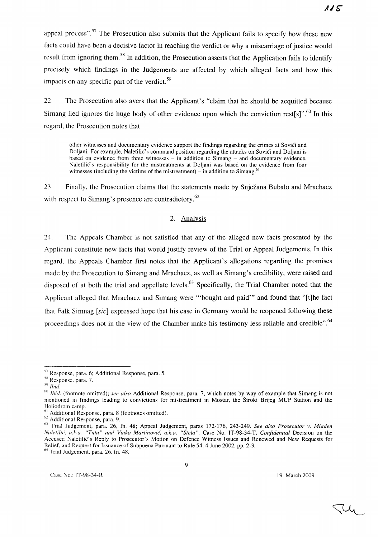$115$ 

appeal process".<sup>57</sup> The Prosecution also submits that the Applicant fails to specify how these new facts could have been a decisive factor in reaching the verdict or why a miscarriage of justice would result from ignoring them.<sup>58</sup> In addition, the Prosecution asserts that the Application fails to identify precisely which findings in the Judgements are affected by which alleged facts and how this impacts on any specific part of the verdict.<sup>59</sup>

22 The Prosecution also avers that the Applicant's "claim that he should be acquitted because Simang lied ignores the huge body of other evidence upon which the conviction rest[s]".<sup>60</sup> In this regard, the Prosecution notes that

other witnesses and documentary evidence support the findings regarding the crimes at Sovići and Doljani. For example, Naletilić's command position regarding the attacks on Sovići and Doljani is based on evidence from three witnesses  $-$  in addition to Simang  $-$  and documentary evidence. Naletilic's responsibility for the mistreatments at Doljani was based on the evidence from four witnesses (including the victims of the mistreatment)  $-$  in addition to Simang.<sup>61</sup>

23. Finally, the Prosecution claims that the statements made by Snjezana Bubalo and Mrachacz with respect to Simang's presence are contradictory.<sup>62</sup>

### 2. Analysis

24 The Appeals Chamber is not satisfied that any of the alleged new facts presented by the Applicant constitute new facts that would justify review of the Trial or Appeal Judgements. In this regard, the Appeals Chamber first notes that the Applicant's allegations regarding the promises made by the Prosecution to Simang and Mrachacz, as well as Simang's credibility, were raised and disposed of at both the trial and appellate levels.<sup>63</sup> Specifically, the Trial Chamber noted that the Applicant alleged that Mrachacz and Simang were "'bought and paid'" and found that "[t]he fact that Falk Simnag [sic] expressed hope that his case in Germany would be reopened following these proceedings does not in the view of the Chamber make his testimony less reliable and credible".<sup>64</sup>

9

<sup>64</sup> Trial Judgement, para. 26, fn. 48.

 $57$  Response, para. 6; Additional Response, para. 5.

<sup>&</sup>lt;sup>58</sup> Response, para. 7.

<sup>,</sup>y *Ihid.* 

<sup>60</sup>*Ihid.* (footnote omitted); *see also* Additional Response, para. 7, which notes by way of example that Simang is not mentioned in findings leading to convictions for mistreatment in Mostar, the Siroki Brijeg MUP Station and the Heliodrom camp.

 $<sup>61</sup>$  Additional Response, para. 8 (footnotes omitted).</sup>

<sup>62</sup> Additional Response, para. 9.

<sup>&</sup>lt;sup>63</sup> Trial Judgement, para. 26, fn. 48; Appeal Judgement, paras 172-176, 243-249. *See also Prosecutor v. Mladen Naletilić, a.k.a. "Tuta" and Vinko Martinović, a.k.a. "Štela", Case No. IT-98-34-T, <i>Confidential Decision on the* Accused Naletilic's Reply to Prosecutor's Motion on Defence Witness Issues and Renewed and New Requests for Relief, and Request for Issuance of Subpoena Pursuant to Rule 54, 4 June 2002, pp. 2-3.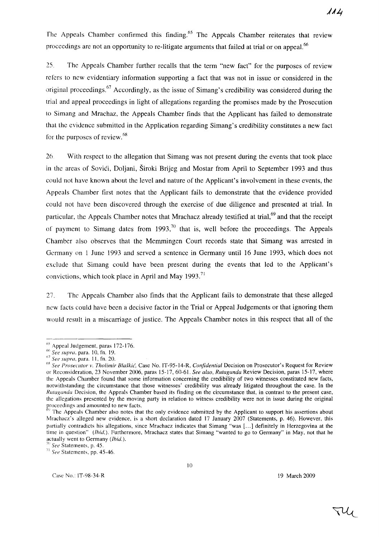The Appeals Chamber confirmed this finding.<sup>65</sup> The Appeals Chamber reiterates that review proceedings are not an opportunity to re-litigate arguments that failed at trial or on appeal.<sup>66</sup>

25. The Appeals Chamber further recalls that the term "new fact" for the purposes of review refers to new evidentiary information supporting a fact that was not in issue or considered in the original proceedings.<sup>67</sup> Accordingly, as the issue of Simang's credibility was considered during the trial and appeal proceedings in light of allegations regarding the promises made by the Prosecution [0 Simang and Mrachaz, the Appeals Chamber finds that the Applicant has failed to demonstrate that the evidence submitted in the Application regarding Simang's credibility constitutes a new fact that the evidence submitted if for the purposes of review.<sup>68</sup>

26. With respect to the allegation that Simang was not present during the events that took place in the areas of Sovici, Doljani, Siroki Brijeg and Mostar from April to September 1993 and thus could not have known about the level and nature of the Applicant's involvement in these events, the Appeals Chamber first notes that the Applicant fails to demonstrate that the evidence provided could not have been discovered through the exercise of due diligence and presented at trial. **In**  particular, the Appeals Chamber notes that Mrachacz already testified at trial,<sup>69</sup> and that the receipt of payment to Simang dates from 1993,<sup>70</sup> that is, well before the proceedings. The Appeals Chamber also observes that the Memmingen Court records state that Simang was arrested in Germany on 1 June 1993 and served a sentence in Germany until 16 June 1993, which does not exclude that Simang could have been present during the events that led to the Applicant's convictions, which took place in April and May  $1993$ .<sup>71</sup>

27. The Appeals Chamber also finds that the Applicant fails to demonstrate that these alleged new facts could have been a decisive factor in the Trial or Appeal Judgements or that ignoring them would result in a miscarriage of justice. The Appeals Chamber notes in this respect that all of the

10

 $65$  Appeal Judgement, paras 172-176.

<sup>66</sup>*See supra.* para. 10, fn. 19.

<sup>67</sup>*See supra,* para. II, fn. 20.

<sup>&</sup>lt;sup>68</sup> See Prosecutor v. Tholimir Blaškić, Case No. IT-95-14-R, *Confidential Decision on Prosecutor's Request for Review* or Reconsideration, 23 November 2006, paras 15-17, 60-61. *See also, Rutaganda* Review Decision, paras 15-17, where the Appeals Chamber found that some information concerning the credibility of two witnesses constituted new facts, notwithstanding the circumstance that those witnesses' credibility was already litigated throughout the case. In the *Rlltagallda* Decision, the Appeals Chamber based its finding on the circumstance that, in contrast to the present case, the allegations presented by the moving party in relation to witness credibility were not in issue during the original  $\frac{1}{69}$  groceedings and amounted to new facts.

The Appeals Chamber also notes that the only evidence submitted by the Applicant to support his assertions about Mrachacz's alleged new evidence, is a short declaration dated 17 January 2007 (Statements, p. 46). However, this partially contradicts his allegations, since Mrachacz indicates that Simang "was [...] definitely in Herzegovina at the time in question" *(lhid.).* Furthermore, Mrachacz states that Simang "wanted to go to Germany" in May, not that he actually went to Germany *(lhid.).* 

<sup>7()</sup> *See* Statements, p. 45.

<sup>&</sup>lt;sup>71</sup> See Statements, pp. 45-46.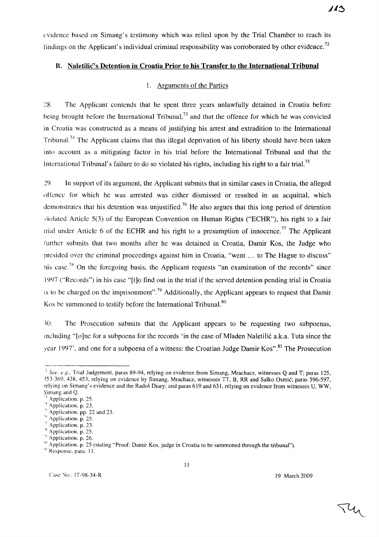evidence based on Simang's testimony which was relied upon by the Trial Chamber to reach its findings on the Applicant's individual criminal responsibility was corroborated by other evidence.<sup>72</sup>

## B. Naletilic's Detention in Croatia Prior to his Transfer to the International Tribunal

## 1. Arguments of the Parties

28. The Applicant contends that he spent three years unlawfully detained in Croatia before being brought before the International Tribunal,<sup>73</sup> and that the offence for which he was convicted in Croatia was constructed as a means of justifying his arrest and extradition to the International Tribunal.<sup>74</sup> The Applicant claims that this illegal deprivation of his liberty should have been taken into account as a mitigating factor in his trial before the International Tribunal and that the International Tribunal's failure to do so violated his rights, including his right to a fair trial.<sup>75</sup>

:29. In support of its argument, the Applicant submits that in similar cases in Croatia, the alleged ()ffcnce for which he was arrested was either dismissed or resulted in an acquittal, which demonstrates that his detention was unjustified.<sup>76</sup> He also argues that this long period of detention violated Article 5(3) of the European Convention on Human Rights ("ECHR"), his right to a fair trial under Article 6 of the ECHR and his right to a presumption of innocence.<sup>77</sup> The Applicant further submits that two months after he was detained in Croatia, Damir Kos, the Judge who presided over the criminal proceedings against him in Croatia, "went ... to The Hague to discuss" his case.<sup>78</sup> On the foregoing basis, the Applicant requests "an examination of the records" since 19Y7 ("Records") in his case "[t]o find out in the trial if the served detention pending trial in Croatia IS to be charged on the imprisonment".<sup>79</sup> Additionally, the Applicant appears to request that Damir Kos be summoned to testify before the International Tribunal.<sup>80</sup>

)0. The Prosecution submits that the Applicant appears to be requesting two subpoenas, mcluding "[ 0 ]ne for a subpoena for the records' in the case of Mladen Naletili6 a.k.a. Tuta since the year 1997', and one for a subpoena of a witness: the Croatian Judge Damir Kos".<sup>81</sup> The Prosecution

II

<sup>&#</sup>x27;2 *See, e.g.,* Trial Judgement, paras 89-94, relying on evidence from Simang, Mrachacz, witnesses Q and T; paras 125, 353-369, 438, 453, relying on evidence by Simang, Mrachacz, witnesses TT, B, RR and Salko Osmic; paras 596-597, relying on Simang's evidence and the Rados Diary; and paras 619 and 631, relying on evidence from witnesses U, WW, Simang and Q.

Application, p. 25.

<sup>&#</sup>x27;4 Application, p, 23.

Application, pp. 22 and 23.

Application, p. 25.

Application, p. 23.

<sup>&#</sup>x27;x Application, p. 25.

<sup>&#</sup>x27;~ Application, p. 26.

 $\frac{1}{10}$  Application, p. 25 (stating "Proof: Damir Kos, judge in Croatia to be summoned through the tribunal").

<sup>,)</sup> Response, para. II.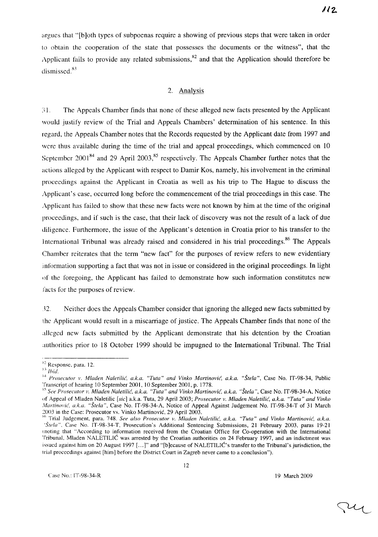argues that "[b] oth types of subpoenas require a showing of previous steps that were taken in order to obtain the cooperation of the state that possesses the documents or the witness", that the Applicant fails to provide any related submissions, $82$  and that the Application should therefore be dismissed. $83$ 

### 2. Analysis

:) 1. The Appeals Chamber finds that none of these alleged new facts presented by the Applicant would justify review of the Trial and Appeals Chambers' determination of his sentence. **In** this regard, the Appeals Chamber notes that the Records requested by the Applicant date from 1997 and were thus available during the time of the trial and appeal proceedings, which commenced on 10 September 2001<sup>84</sup> and 29 April 2003,<sup>85</sup> respectively. The Appeals Chamber further notes that the actions alleged by the Applicant with respect to Damir Kos, namely, his involvement in the criminal proceedings against the Applicant in Croatia as well as his trip to The Hague to discuss the Applicant's case, occurred long before the commencement of the trial proceedings in this case. The Applicant has failed to show that these new facts were not known by him at the time of the original proceedings, and if such is the case, that their lack of discovery was not the result of a lack of due diligence. Furthermore, the issue of the Applicant's detention in Croatia prior to his transfer to the International Tribunal was already raised and considered in his trial proceedings.<sup>86</sup> The Appeals Chamber reiterates that the term "new fact" for the purposes of review refers to new evidentiary information supporting a fact that was not in issue or considered in the original proceedings. **In** light 1)1' the foregoing, the Applicant has failed to demonstrate how such information constitutes new facts for the purposes of review.

32. Neither does the Appeals Chamber consider that ignoring the alleged new facts submitted by the Applicant would result in a miscarriage of justice. The Appeals Chamber finds that none of the alleged new facts submitted by the Applicant demonstrate that his detention by the Croatian authorities prior to 18 October 1999 should be impugned to the International Tribunal. The Trial

 $\mathcal{U}_{\mathcal{U}}$ 

<sup>)·2</sup> Response, para. 12.

 $^{\rm 83}$  *Ibid.* 

<sup>&</sup>lt;sup>84</sup> Prosecutor v. Mladen Naletilić, a.k.a. "Tuta" and Vinko Martinović, a.k.a. "Štela", Case No. IT-98-34, Public Transcript of hearing 10 September 2001, 10 September 2001, p. 1778.

<sup>&</sup>lt;sup>85</sup> See Prosecutor v. Mladen Naletilić, a.k.a. "Tuta" and Vinko Martinović, a.k.a. "Štela", Case No. IT-98-34-A, Notice of Appeal of Mladen Naletilic [sic] a.k.a. Tuta, 29 April 2003; *Prosecutor v. Mladen Naletilic.', a.k.a. "Tuta" and Vinko Martinović, a.k.a. "Štela", Case No. IT-98-34-A, Notice of Appeal Against Judgement No. IT-98-34-T of 31 March* 2003 in the Case: Prosecutor vs. Vinko Martinovic, 29 April 2003.

*hh* Trial Judgement, para. 748. *See also Prosecutor v. Mladen Naletilic', a.k.a. "Tuta" and Vinko Martinovic', a.k.a. 'Stela",* Case No. IT-98-34-T, Prosecution's Additional Sentencing Submissions, 21 February 2003, paras 19-21 <sup>I</sup>noting that "According to information received from the Croatian Office for Co-operation with the International Tribunal. Mladen NALETILIC was arrested by the Croatian authorities on 24 February 1997, and an indictment was issued against him on 20 August 1997 [ ... J" and "[b]ecause of NALETILIC's transfer to the Tribunal's jurisdiction, the trial proceedings against [him] before the District Court in Zagreb never came to a conclusion").